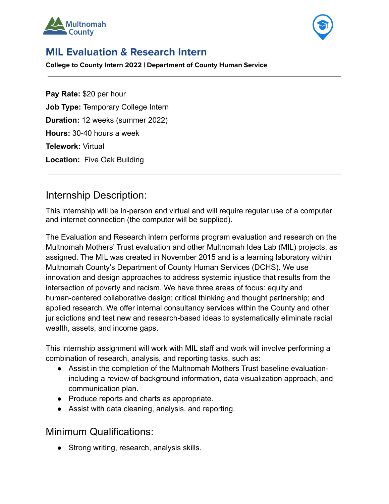



# **MIL Evaluation & Research Intern**

**College to County Intern 2022 | Department of County Human Service**

**Pay Rate:** \$20 per hour **Job Type:** Temporary College Intern **Duration:** 12 weeks (summer 2022) **Hours:** 30-40 hours a week **Telework:** Virtual **Location:** Five Oak Building

## Internship Description:

This internship will be in-person and virtual and will require regular use of a computer and internet connection (the computer will be supplied).

The Evaluation and Research intern performs program evaluation and research on the Multnomah Mothers' Trust evaluation and other Multnomah Idea Lab (MIL) projects, as assigned. The MIL was created in November 2015 and is a learning laboratory within Multnomah County's Department of County Human Services (DCHS). We use innovation and design approaches to address systemic injustice that results from the intersection of poverty and racism. We have three areas of focus: equity and human-centered collaborative design; critical thinking and thought partnership; and applied research. We offer internal consultancy services within the County and other jurisdictions and test new and research-based ideas to systematically eliminate racial wealth, assets, and income gaps.

This internship assignment will work with MIL staff and work will involve performing a combination of research, analysis, and reporting tasks, such as:

- Assist in the completion of the Multnomah Mothers Trust baseline evaluationincluding a review of background information, data visualization approach, and communication plan.
- Produce reports and charts as appropriate.
- Assist with data cleaning, analysis, and reporting.

### Minimum Qualifications:

• Strong writing, research, analysis skills.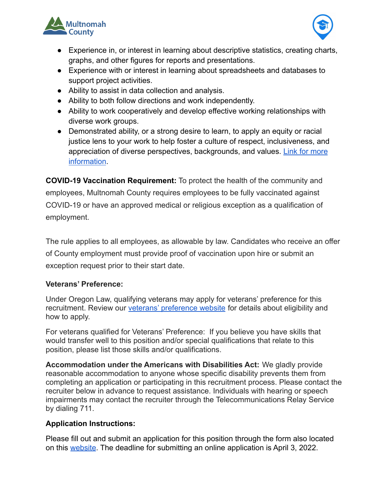



- Experience in, or interest in learning about descriptive statistics, creating charts, graphs, and other figures for reports and presentations.
- Experience with or interest in learning about spreadsheets and databases to support project activities.
- Ability to assist in data collection and analysis.
- Ability to both follow directions and work independently.
- Ability to work cooperatively and develop effective working relationships with diverse work groups.
- Demonstrated ability, or a strong desire to learn, to apply an equity or racial justice lens to your work to help foster a culture of respect, inclusiveness, and appreciation of diverse perspectives, backgrounds, and values. [Link for more](https://multco.us/safety-trust-and-belonging-workforce-equity-initiative) [information](https://multco.us/safety-trust-and-belonging-workforce-equity-initiative).

**COVID-19 Vaccination Requirement:** To protect the health of the community and employees, Multnomah County requires employees to be fully vaccinated against COVID-19 or have an approved medical or religious exception as a qualification of employment.

The rule applies to all employees, as allowable by law. Candidates who receive an offer of County employment must provide proof of vaccination upon hire or submit an exception request prior to their start date.

### **Veterans' Preference:**

Under Oregon Law, qualifying veterans may apply for veterans' preference for this recruitment. Review our [veterans' preference website](http://multco.us/jobs/veterans-preference-information-and-instructions) for details about eligibility and how to apply.

For veterans qualified for Veterans' Preference: If you believe you have skills that would transfer well to this position and/or special qualifications that relate to this position, please list those skills and/or qualifications.

**Accommodation under the Americans with Disabilities Act:** We gladly provide reasonable accommodation to anyone whose specific disability prevents them from completing an application or participating in this recruitment process. Please contact the recruiter below in advance to request assistance. Individuals with hearing or speech impairments may contact the recruiter through the Telecommunications Relay Service by dialing 711.

### **Application Instructions:**

Please fill out and submit an application for this position through the form also located on this [website](https://multco.us/college-county). The deadline for submitting an online application is April 3, 2022.